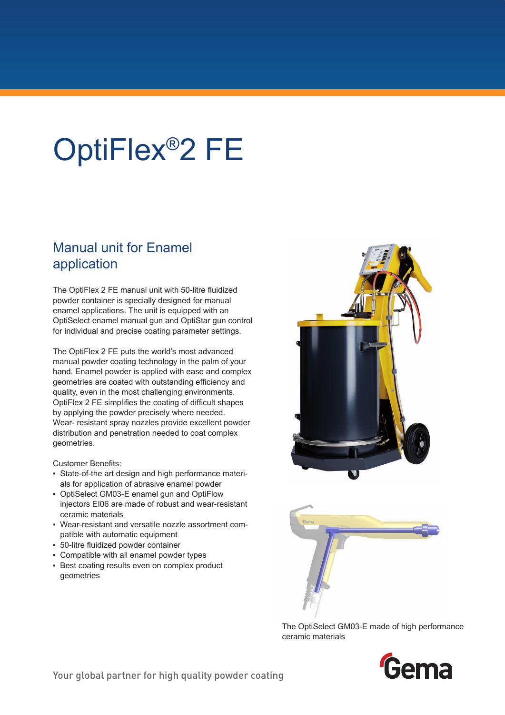## OptiFlex®2 FE

## Manual unit for Enamel application

The OptiFlex 2 FE manual unit with 50-litre fluidized powder container is specially designed for manual enamel applications. The unit is equipped with an OptiSelect enamel manual gun and OptiStar gun control for individual and precise coating parameter settings.

The OptiFlex 2 FE puts the world's most advanced manual powder coating technology in the palm of your hand. Enamel powder is applied with ease and complex geometries are coated with outstanding efficiency and quality, even in the most challenging environments. OptiFlex 2 FE simplifies the coating of difficult shapes by applying the powder precisely where needed. Wear- resistant spray nozzles provide excellent powder distribution and penetration needed to coat complex geometries.

Customer Benefits:

- State-of-the art design and high performance materials for application of abrasive enamel powder
- OptiSelect GM03-E enamel gun and OptiFlow injectors EI06 are made of robust and wear-resistant ceramic materials
- Wear-resistant and versatile nozzle assortment compatible with automatic equipment
- 50-litre fluidized powder container
- Compatible with all enamel powder types
- Best coating results even on complex product geometries





The OptiSelect GM03-E made of high performance ceramic materials